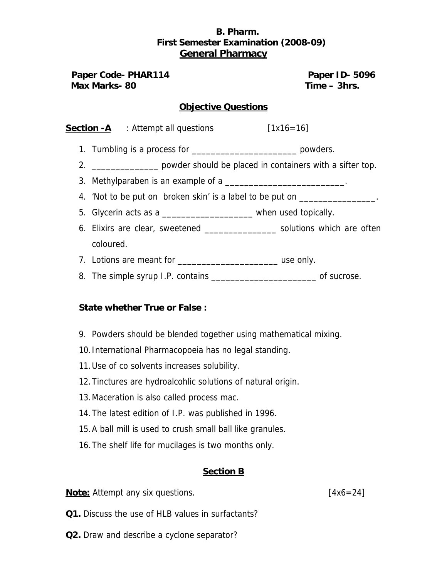# **B. Pharm. First Semester Examination (2008-09) General Pharmacy**

**Paper Code- PHAR114 Paper ID- 5096 Max Marks- 80 Time – 3hrs. Max Marks- 80** 

### **Objective Questions**

| <b>Section -A</b> | . Attempt all questions | $[1x16=16]$ |
|-------------------|-------------------------|-------------|
|-------------------|-------------------------|-------------|

1. Tumbling is a process for \_\_\_\_\_\_\_\_\_\_\_\_\_\_\_\_\_\_\_\_\_\_\_\_\_\_\_\_\_\_\_ powders.

2. \_\_\_\_\_\_\_\_\_\_\_\_\_\_ powder should be placed in containers with a sifter top.

- 3. Methylparaben is an example of a
- 4. 'Not to be put on broken skin' is a label to be put on
- 5. Glycerin acts as a \_\_\_\_\_\_\_\_\_\_\_\_\_\_\_\_\_\_\_ when used topically.
- 6. Elixirs are clear, sweetened \_\_\_\_\_\_\_\_\_\_\_\_\_\_\_ solutions which are often coloured.
- 7. Lotions are meant for \_\_\_\_\_\_\_\_\_\_\_\_\_\_\_\_\_\_\_\_\_ use only.
- 8. The simple syrup I.P. contains \_\_\_\_\_\_\_\_\_\_\_\_\_\_\_\_\_\_\_\_\_\_\_\_\_\_\_\_\_\_\_ of sucrose.

#### **State whether True or False :**

- 9. Powders should be blended together using mathematical mixing.
- 10.International Pharmacopoeia has no legal standing.
- 11.Use of co solvents increases solubility.
- 12.Tinctures are hydroalcohlic solutions of natural origin.
- 13.Maceration is also called process mac.
- 14.The latest edition of I.P. was published in 1996.
- 15.A ball mill is used to crush small ball like granules.
- 16.The shelf life for mucilages is two months only.

#### **Section B**

**Note:** Attempt any six questions. **In the set of the set of the set of the set of the set of the set of the set of the set of the set of the set of the set of the set of the set of the set of the set of the set of the set** 

- **Q1.** Discuss the use of HLB values in surfactants?
- **Q2.** Draw and describe a cyclone separator?